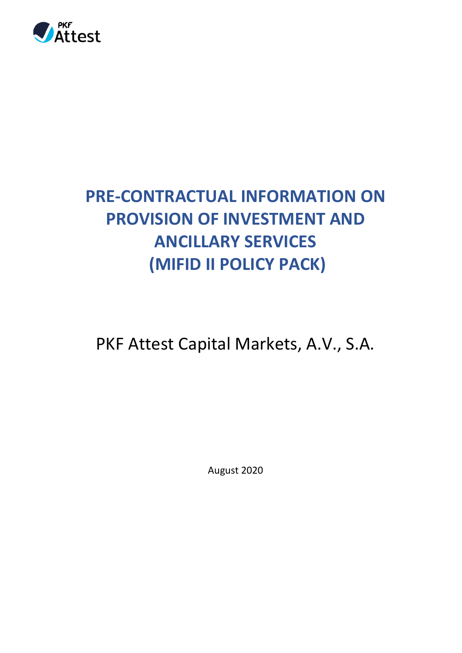

## **PRE-CONTRACTUAL INFORMATION ON PROVISION OF INVESTMENT AND ANCILLARY SERVICES (MIFID II POLICY PACK)**

PKF Attest Capital Markets, A.V., S.A.

August 2020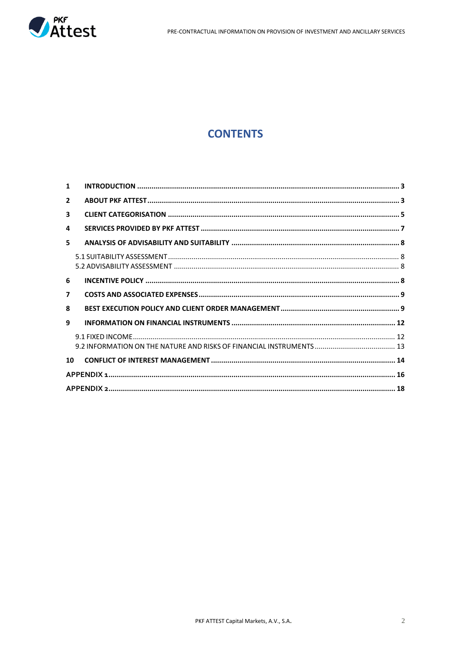

## **CONTENTS**

| $\mathbf{1}$            |  |
|-------------------------|--|
| $\mathbf{2}$            |  |
| 3                       |  |
| 4                       |  |
| 5.                      |  |
|                         |  |
| 6                       |  |
| $\overline{\mathbf{z}}$ |  |
| 8                       |  |
| 9                       |  |
|                         |  |
| 10                      |  |
|                         |  |
|                         |  |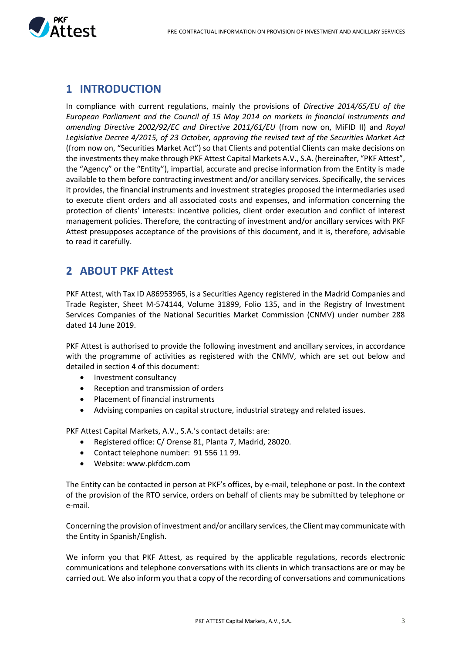

## <span id="page-2-2"></span><span id="page-2-0"></span>**1 [INTRODUCTION](#page-2-2)**

In compliance with current regulations, mainly the provisions of *Directive 2014/65/EU of the European Parliament and the Council of 15 May 2014 on markets in financial instruments and amending Directive 2002/92/EC and Directive 2011/61/EU* (from now on, MiFID II) and *Royal Legislative Decree 4/2015, of 23 October, approving the revised text of the Securities Market Act*  (from now on, "Securities Market Act") so that Clients and potential Clients can make decisions on the investments they make through PKF Attest Capital Markets A.V., S.A. (hereinafter, "PKF Attest", the "Agency" or the "Entity"), impartial, accurate and precise information from the Entity is made available to them before contracting investment and/or ancillary services. Specifically, the services it provides, the financial instruments and investment strategies proposed the intermediaries used to execute client orders and all associated costs and expenses, and information concerning the protection of clients' interests: incentive policies, client order execution and conflict of interest management policies. Therefore, the contracting of investment and/or ancillary services with PKF Attest presupposes acceptance of the provisions of this document, and it is, therefore, advisable to read it carefully.

## <span id="page-2-1"></span>**2 ABOUT PKF Attest**

PKF Attest, with Tax ID A86953965, is a Securities Agency registered in the Madrid Companies and Trade Register, Sheet M-574144, Volume 31899, Folio 135, and in the Registry of Investment Services Companies of the National Securities Market Commission (CNMV) under number 288 dated 14 June 2019.

PKF Attest is authorised to provide the following investment and ancillary services, in accordance with the programme of activities as registered with the CNMV, which are set out below and detailed in section 4 of this document:

- Investment consultancy
- Reception and transmission of orders
- Placement of financial instruments
- Advising companies on capital structure, industrial strategy and related issues.

PKF Attest Capital Markets, A.V., S.A.'s contact details: are:

- Registered office: C/ Orense 81, Planta 7, Madrid, 28020.
- Contact telephone number: 91 556 11 99.
- Website: www.pkfdcm.com

The Entity can be contacted in person at PKF's offices, by e-mail, telephone or post. In the context of the provision of the RTO service, orders on behalf of clients may be submitted by telephone or e-mail.

Concerning the provision of investment and/or ancillary services, the Client may communicate with the Entity in Spanish/English.

We inform you that PKF Attest, as required by the applicable regulations, records electronic communications and telephone conversations with its clients in which transactions are or may be carried out. We also inform you that a copy of the recording of conversations and communications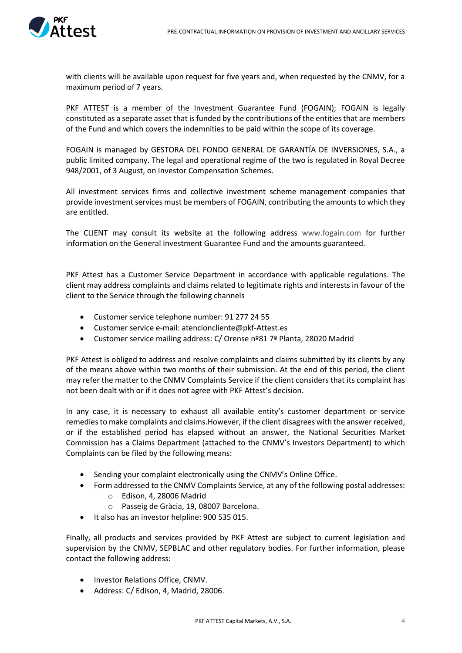

with clients will be available upon request for five years and, when requested by the CNMV, for a maximum period of 7 years.

PKF ATTEST is a member of the Investment Guarantee Fund (FOGAIN); FOGAIN is legally constituted as a separate asset that is funded by the contributions of the entities that are members of the Fund and which covers the indemnities to be paid within the scope of its coverage.

FOGAIN is managed by GESTORA DEL FONDO GENERAL DE GARANTÍA DE INVERSIONES, S.A., a public limited company. The legal and operational regime of the two is regulated in Royal Decree 948/2001, of 3 August, on Investor Compensation Schemes.

All investment services firms and collective investment scheme management companies that provide investment services must be members of FOGAIN, contributing the amounts to which they are entitled.

The CLIENT may consult its website at the following address [www.fogain.com](http://www.fogain.com/) for further information on the General Investment Guarantee Fund and the amounts guaranteed.

PKF Attest has a Customer Service Department in accordance with applicable regulations. The client may address complaints and claims related to legitimate rights and interests in favour of the client to the Service through the following channels

- Customer service telephone number: 91 277 24 55
- Customer service e-mail: atencioncliente@pkf-Attest.es
- Customer service mailing address: C/ Orense nº81 7ª Planta, 28020 Madrid

PKF Attest is obliged to address and resolve complaints and claims submitted by its clients by any of the means above within two months of their submission. At the end of this period, the client may refer the matter to the CNMV Complaints Service if the client considers that its complaint has not been dealt with or if it does not agree with PKF Attest's decision.

In any case, it is necessary to exhaust all available entity's customer department or service remedies to make complaints and claims.However, if the client disagrees with the answer received, or if the established period has elapsed without an answer, the National Securities Market Commission has a Claims Department (attached to the CNMV's Investors Department) to which Complaints can be filed by the following means:

- Sending your complaint electronically using the CNMV's Online Office.
- Form addressed to the CNMV Complaints Service, at any of the following postal addresses:
	- o Edison, 4, 28006 Madrid
	- o Passeig de Gràcia, 19, 08007 Barcelona.
- It also has an investor helpline: 900 535 015.

Finally, all products and services provided by PKF Attest are subject to current legislation and supervision by the CNMV, SEPBLAC and other regulatory bodies. For further information, please contact the following address:

- Investor Relations Office, CNMV.
- Address: C/ Edison, 4, Madrid, 28006.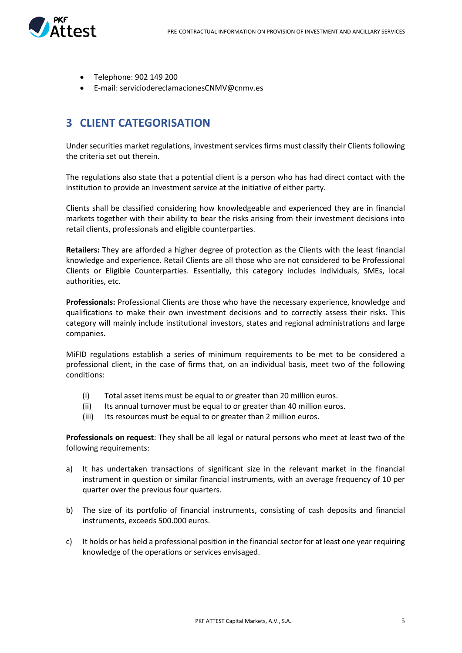

- Telephone: 902 149 200
- E-mail: serviciodereclamacionesCNMV@cnmv.es

## <span id="page-4-0"></span>**3 CLIENT CATEGORISATION**

Under securities market regulations, investment services firms must classify their Clients following the criteria set out therein.

The regulations also state that a potential client is a person who has had direct contact with the institution to provide an investment service at the initiative of either party.

Clients shall be classified considering how knowledgeable and experienced they are in financial markets together with their ability to bear the risks arising from their investment decisions into retail clients, professionals and eligible counterparties.

**Retailers:** They are afforded a higher degree of protection as the Clients with the least financial knowledge and experience. Retail Clients are all those who are not considered to be Professional Clients or Eligible Counterparties. Essentially, this category includes individuals, SMEs, local authorities, etc.

**Professionals:** Professional Clients are those who have the necessary experience, knowledge and qualifications to make their own investment decisions and to correctly assess their risks. This category will mainly include institutional investors, states and regional administrations and large companies.

MiFID regulations establish a series of minimum requirements to be met to be considered a professional client, in the case of firms that, on an individual basis, meet two of the following conditions:

- (i) Total asset items must be equal to or greater than 20 million euros.
- (ii) Its annual turnover must be equal to or greater than 40 million euros.
- (iii) Its resources must be equal to or greater than 2 million euros.

**Professionals on request**: They shall be all legal or natural persons who meet at least two of the following requirements:

- a) It has undertaken transactions of significant size in the relevant market in the financial instrument in question or similar financial instruments, with an average frequency of 10 per quarter over the previous four quarters.
- b) The size of its portfolio of financial instruments, consisting of cash deposits and financial instruments, exceeds 500.000 euros.
- c) It holds or has held a professional position in the financial sector for at least one year requiring knowledge of the operations or services envisaged.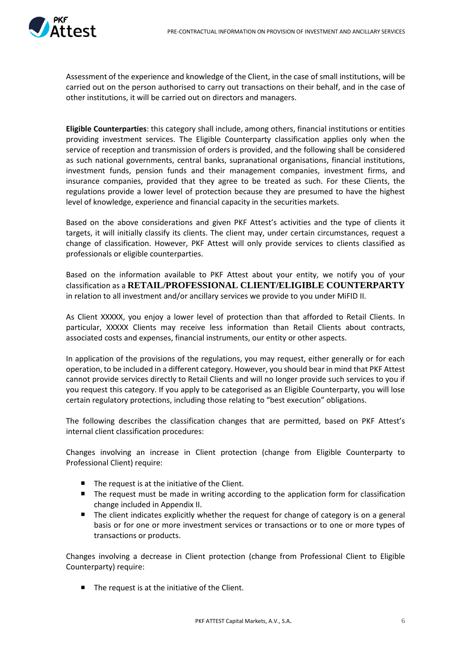

Assessment of the experience and knowledge of the Client, in the case of small institutions, will be carried out on the person authorised to carry out transactions on their behalf, and in the case of other institutions, it will be carried out on directors and managers.

**Eligible Counterparties**: this category shall include, among others, financial institutions or entities providing investment services. The Eligible Counterparty classification applies only when the service of reception and transmission of orders is provided, and the following shall be considered as such national governments, central banks, supranational organisations, financial institutions, investment funds, pension funds and their management companies, investment firms, and insurance companies, provided that they agree to be treated as such. For these Clients, the regulations provide a lower level of protection because they are presumed to have the highest level of knowledge, experience and financial capacity in the securities markets.

Based on the above considerations and given PKF Attest's activities and the type of clients it targets, it will initially classify its clients. The client may, under certain circumstances, request a change of classification. However, PKF Attest will only provide services to clients classified as professionals or eligible counterparties.

Based on the information available to PKF Attest about your entity, we notify you of your classification as a **RETAIL/PROFESSIONAL CLIENT/ELIGIBLE COUNTERPARTY** in relation to all investment and/or ancillary services we provide to you under MiFID II.

As Client XXXXX, you enjoy a lower level of protection than that afforded to Retail Clients. In particular, XXXXX Clients may receive less information than Retail Clients about contracts, associated costs and expenses, financial instruments, our entity or other aspects.

In application of the provisions of the regulations, you may request, either generally or for each operation, to be included in a different category. However, you should bear in mind that PKF Attest cannot provide services directly to Retail Clients and will no longer provide such services to you if you request this category. If you apply to be categorised as an Eligible Counterparty, you will lose certain regulatory protections, including those relating to "best execution" obligations.

The following describes the classification changes that are permitted, based on PKF Attest's internal client classification procedures:

Changes involving an increase in Client protection (change from Eligible Counterparty to Professional Client) require:

- The request is at the initiative of the Client.
- The request must be made in writing according to the application form for classification change included in Appendix II.
- **The client indicates explicitly whether the request for change of category is on a general** basis or for one or more investment services or transactions or to one or more types of transactions or products.

Changes involving a decrease in Client protection (change from Professional Client to Eligible Counterparty) require:

 $\blacksquare$  The request is at the initiative of the Client.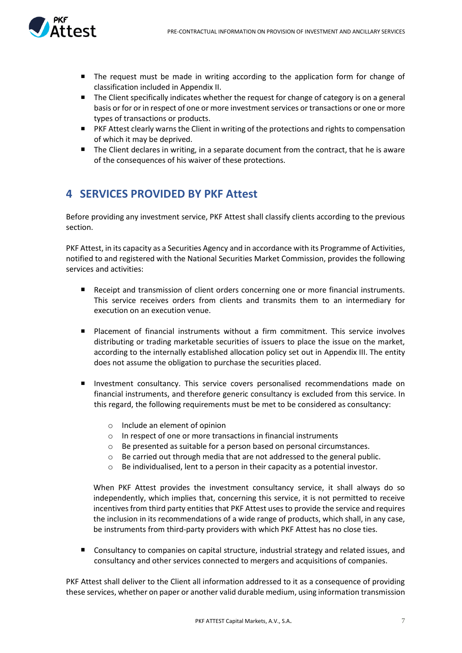

- The request must be made in writing according to the application form for change of classification included in Appendix II.
- The Client specifically indicates whether the request for change of category is on a general basis or for or in respect of one or more investment services or transactions or one or more types of transactions or products.
- PKF Attest clearly warns the Client in writing of the protections and rights to compensation of which it may be deprived.
- The Client declares in writing, in a separate document from the contract, that he is aware of the consequences of his waiver of these protections.

## <span id="page-6-0"></span>**4 SERVICES PROVIDED BY PKF Attest**

Before providing any investment service, PKF Attest shall classify clients according to the previous section.

PKF Attest, in its capacity as a Securities Agency and in accordance with its Programme of Activities, notified to and registered with the National Securities Market Commission, provides the following services and activities:

- Receipt and transmission of client orders concerning one or more financial instruments. This service receives orders from clients and transmits them to an intermediary for execution on an execution venue.
- Placement of financial instruments without a firm commitment. This service involves distributing or trading marketable securities of issuers to place the issue on the market, according to the internally established allocation policy set out in Appendix III. The entity does not assume the obligation to purchase the securities placed.
- **Investment consultancy. This service covers personalised recommendations made on** financial instruments, and therefore generic consultancy is excluded from this service. In this regard, the following requirements must be met to be considered as consultancy:
	- o Include an element of opinion
	- o In respect of one or more transactions in financial instruments
	- o Be presented as suitable for a person based on personal circumstances.
	- $\circ$  Be carried out through media that are not addressed to the general public.
	- $\circ$  Be individualised, lent to a person in their capacity as a potential investor.

When PKF Attest provides the investment consultancy service, it shall always do so independently, which implies that, concerning this service, it is not permitted to receive incentives from third party entities that PKF Attest uses to provide the service and requires the inclusion in its recommendations of a wide range of products, which shall, in any case, be instruments from third-party providers with which PKF Attest has no close ties.

Consultancy to companies on capital structure, industrial strategy and related issues, and consultancy and other services connected to mergers and acquisitions of companies.

PKF Attest shall deliver to the Client all information addressed to it as a consequence of providing these services, whether on paper or another valid durable medium, using information transmission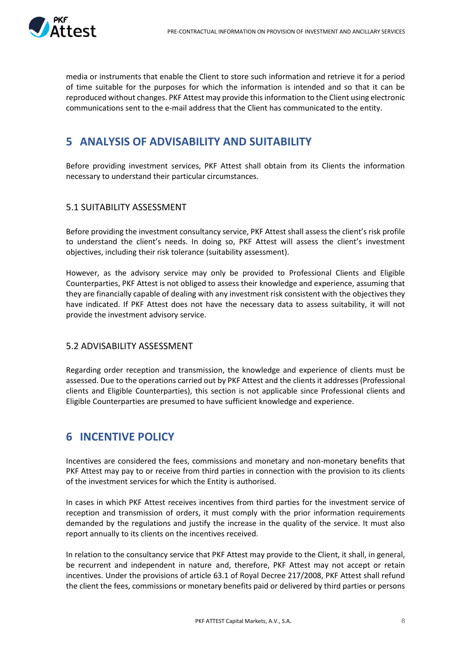

media or instruments that enable the Client to store such information and retrieve it for a period of time suitable for the purposes for which the information is intended and so that it can be reproduced without changes. PKF Attest may provide this information to the Client using electronic communications sent to the e-mail address that the Client has communicated to the entity.

## <span id="page-7-0"></span>**5 ANALYSIS OF ADVISABILITY AND SUITABILITY**

Before providing investment services, PKF Attest shall obtain from its Clients the information necessary to understand their particular circumstances.

#### <span id="page-7-1"></span>5.1 SUITABILITY ASSESSMENT

Before providing the investment consultancy service, PKF Attest shall assess the client's risk profile to understand the client's needs. In doing so, PKF Attest will assess the client's investment objectives, including their risk tolerance (suitability assessment).

However, as the advisory service may only be provided to Professional Clients and Eligible Counterparties, PKF Attest is not obliged to assess their knowledge and experience, assuming that they are financially capable of dealing with any investment risk consistent with the objectives they have indicated. If PKF Attest does not have the necessary data to assess suitability, it will not provide the investment advisory service.

#### <span id="page-7-2"></span>5.2 ADVISABILITY ASSESSMENT

Regarding order reception and transmission, the knowledge and experience of clients must be assessed. Due to the operations carried out by PKF Attest and the clients it addresses (Professional clients and Eligible Counterparties), this section is not applicable since Professional clients and Eligible Counterparties are presumed to have sufficient knowledge and experience.

## <span id="page-7-3"></span>**6 INCENTIVE POLICY**

Incentives are considered the fees, commissions and monetary and non-monetary benefits that PKF Attest may pay to or receive from third parties in connection with the provision to its clients of the investment services for which the Entity is authorised.

In cases in which PKF Attest receives incentives from third parties for the investment service of reception and transmission of orders, it must comply with the prior information requirements demanded by the regulations and justify the increase in the quality of the service. It must also report annually to its clients on the incentives received.

In relation to the consultancy service that PKF Attest may provide to the Client, it shall, in general, be recurrent and independent in nature and, therefore, PKF Attest may not accept or retain incentives. Under the provisions of article 63.1 of Royal Decree 217/2008, PKF Attest shall refund the client the fees, commissions or monetary benefits paid or delivered by third parties or persons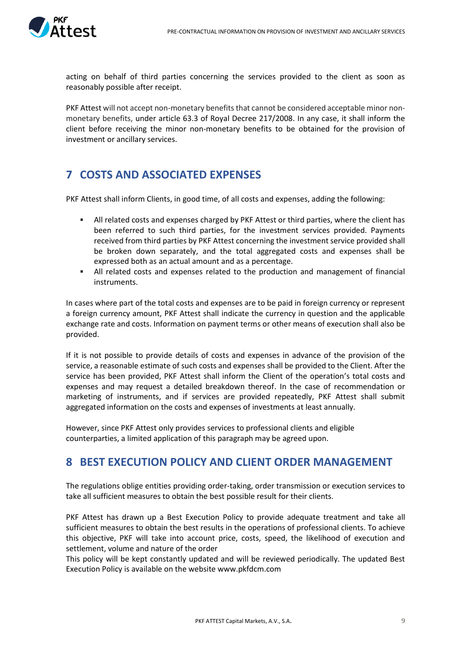

acting on behalf of third parties concerning the services provided to the client as soon as reasonably possible after receipt.

PKF Attest will not accept non-monetary benefits that cannot be considered acceptable minor nonmonetary benefits, under article 63.3 of Royal Decree 217/2008. In any case, it shall inform the client before receiving the minor non-monetary benefits to be obtained for the provision of investment or ancillary services.

## <span id="page-8-0"></span>**7 COSTS AND ASSOCIATED EXPENSES**

PKF Attest shall inform Clients, in good time, of all costs and expenses, adding the following:

- **EXECT All related costs and expenses charged by PKF Attest or third parties, where the client has** been referred to such third parties, for the investment services provided. Payments received from third parties by PKF Attest concerning the investment service provided shall be broken down separately, and the total aggregated costs and expenses shall be expressed both as an actual amount and as a percentage.
- All related costs and expenses related to the production and management of financial instruments.

In cases where part of the total costs and expenses are to be paid in foreign currency or represent a foreign currency amount, PKF Attest shall indicate the currency in question and the applicable exchange rate and costs. Information on payment terms or other means of execution shall also be provided.

If it is not possible to provide details of costs and expenses in advance of the provision of the service, a reasonable estimate of such costs and expenses shall be provided to the Client. After the service has been provided, PKF Attest shall inform the Client of the operation's total costs and expenses and may request a detailed breakdown thereof. In the case of recommendation or marketing of instruments, and if services are provided repeatedly, PKF Attest shall submit aggregated information on the costs and expenses of investments at least annually.

However, since PKF Attest only provides services to professional clients and eligible counterparties, a limited application of this paragraph may be agreed upon.

## <span id="page-8-1"></span>**8 BEST EXECUTION POLICY AND CLIENT ORDER MANAGEMENT**

The regulations oblige entities providing order-taking, order transmission or execution services to take all sufficient measures to obtain the best possible result for their clients.

PKF Attest has drawn up a Best Execution Policy to provide adequate treatment and take all sufficient measures to obtain the best results in the operations of professional clients. To achieve this objective, PKF will take into account price, costs, speed, the likelihood of execution and settlement, volume and nature of the order

This policy will be kept constantly updated and will be reviewed periodically. The updated Best Execution Policy is available on the website www.pkfdcm.com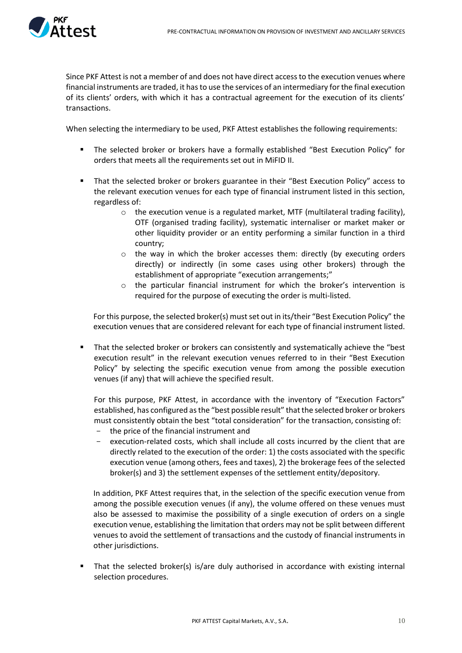

Since PKF Attest is not a member of and does not have direct access to the execution venues where financial instruments are traded, it has to use the services of an intermediary for the final execution of its clients' orders, with which it has a contractual agreement for the execution of its clients' transactions.

When selecting the intermediary to be used, PKF Attest establishes the following requirements:

- The selected broker or brokers have a formally established "Best Execution Policy" for orders that meets all the requirements set out in MiFID II.
- That the selected broker or brokers guarantee in their "Best Execution Policy" access to the relevant execution venues for each type of financial instrument listed in this section, regardless of:
	- $\circ$  the execution venue is a regulated market, MTF (multilateral trading facility), OTF (organised trading facility), systematic internaliser or market maker or other liquidity provider or an entity performing a similar function in a third country;
	- $\circ$  the way in which the broker accesses them: directly (by executing orders directly) or indirectly (in some cases using other brokers) through the establishment of appropriate "execution arrangements;"
	- $\circ$  the particular financial instrument for which the broker's intervention is required for the purpose of executing the order is multi-listed.

For this purpose, the selected broker(s) must set out in its/their "Best Execution Policy" the execution venues that are considered relevant for each type of financial instrument listed.

That the selected broker or brokers can consistently and systematically achieve the "best" execution result" in the relevant execution venues referred to in their "Best Execution Policy" by selecting the specific execution venue from among the possible execution venues (if any) that will achieve the specified result.

For this purpose, PKF Attest, in accordance with the inventory of "Execution Factors" established, has configured as the "best possible result" that the selected broker or brokers must consistently obtain the best "total consideration" for the transaction, consisting of:

- the price of the financial instrument and
- execution-related costs, which shall include all costs incurred by the client that are directly related to the execution of the order: 1) the costs associated with the specific execution venue (among others, fees and taxes), 2) the brokerage fees of the selected broker(s) and 3) the settlement expenses of the settlement entity/depository.

In addition, PKF Attest requires that, in the selection of the specific execution venue from among the possible execution venues (if any), the volume offered on these venues must also be assessed to maximise the possibility of a single execution of orders on a single execution venue, establishing the limitation that orders may not be split between different venues to avoid the settlement of transactions and the custody of financial instruments in other jurisdictions.

That the selected broker(s) is/are duly authorised in accordance with existing internal selection procedures.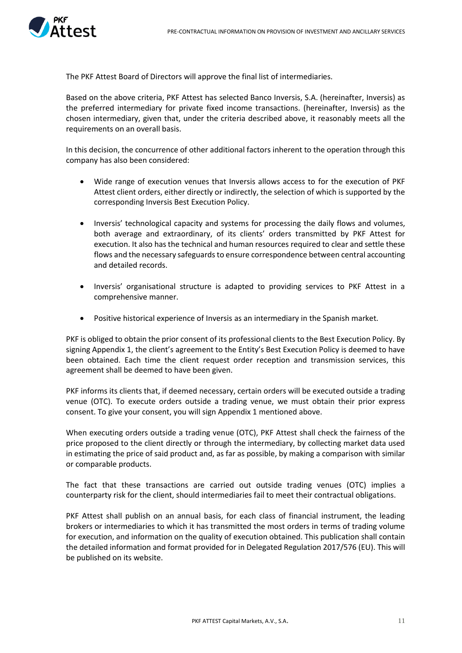

The PKF Attest Board of Directors will approve the final list of intermediaries.

Based on the above criteria, PKF Attest has selected Banco Inversis, S.A. (hereinafter, Inversis) as the preferred intermediary for private fixed income transactions. (hereinafter, Inversis) as the chosen intermediary, given that, under the criteria described above, it reasonably meets all the requirements on an overall basis.

In this decision, the concurrence of other additional factors inherent to the operation through this company has also been considered:

- Wide range of execution venues that Inversis allows access to for the execution of PKF Attest client orders, either directly or indirectly, the selection of which is supported by the corresponding Inversis Best Execution Policy.
- Inversis' technological capacity and systems for processing the daily flows and volumes, both average and extraordinary, of its clients' orders transmitted by PKF Attest for execution. It also has the technical and human resources required to clear and settle these flows and the necessary safeguards to ensure correspondence between central accounting and detailed records.
- Inversis' organisational structure is adapted to providing services to PKF Attest in a comprehensive manner.
- Positive historical experience of Inversis as an intermediary in the Spanish market.

PKF is obliged to obtain the prior consent of its professional clients to the Best Execution Policy. By signing Appendix 1, the client's agreement to the Entity's Best Execution Policy is deemed to have been obtained. Each time the client request order reception and transmission services, this agreement shall be deemed to have been given.

PKF informs its clients that, if deemed necessary, certain orders will be executed outside a trading venue (OTC). To execute orders outside a trading venue, we must obtain their prior express consent. To give your consent, you will sign Appendix 1 mentioned above.

When executing orders outside a trading venue (OTC), PKF Attest shall check the fairness of the price proposed to the client directly or through the intermediary, by collecting market data used in estimating the price of said product and, as far as possible, by making a comparison with similar or comparable products.

The fact that these transactions are carried out outside trading venues (OTC) implies a counterparty risk for the client, should intermediaries fail to meet their contractual obligations.

PKF Attest shall publish on an annual basis, for each class of financial instrument, the leading brokers or intermediaries to which it has transmitted the most orders in terms of trading volume for execution, and information on the quality of execution obtained. This publication shall contain the detailed information and format provided for in Delegated Regulation 2017/576 (EU). This will be published on its website.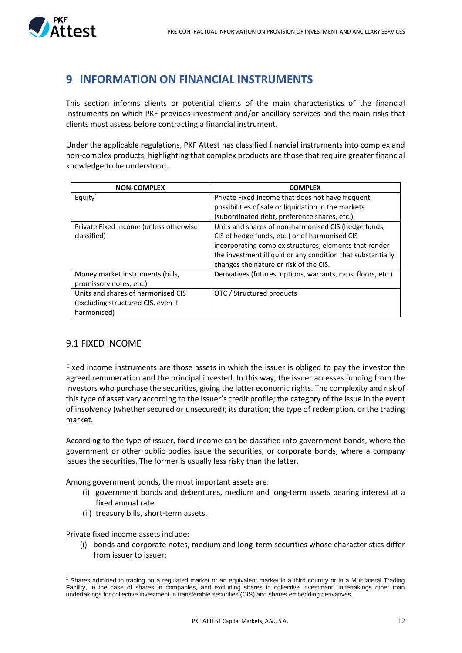

## <span id="page-11-0"></span>**9 INFORMATION ON FINANCIAL INSTRUMENTS**

This section informs clients or potential clients of the main characteristics of the financial instruments on which PKF provides investment and/or ancillary services and the main risks that clients must assess before contracting a financial instrument.

Under the applicable regulations, PKF Attest has classified financial instruments into complex and non-complex products, highlighting that complex products are those that require greater financial knowledge to be understood.

| <b>NON-COMPLEX</b>                     | <b>COMPLEX</b>                                               |
|----------------------------------------|--------------------------------------------------------------|
| Equity <sup>1</sup>                    | Private Fixed Income that does not have frequent             |
|                                        | possibilities of sale or liquidation in the markets          |
|                                        | (subordinated debt, preference shares, etc.)                 |
| Private Fixed Income (unless otherwise | Units and shares of non-harmonised CIS (hedge funds,         |
| classified)                            | CIS of hedge funds, etc.) or of harmonised CIS               |
|                                        | incorporating complex structures, elements that render       |
|                                        | the investment illiquid or any condition that substantially  |
|                                        | changes the nature or risk of the CIS.                       |
| Money market instruments (bills,       | Derivatives (futures, options, warrants, caps, floors, etc.) |
| promissory notes, etc.)                |                                                              |
| Units and shares of harmonised CIS     | OTC / Structured products                                    |
| (excluding structured CIS, even if     |                                                              |
| harmonised)                            |                                                              |

#### <span id="page-11-1"></span>9.1 FIXED INCOME

Fixed income instruments are those assets in which the issuer is obliged to pay the investor the agreed remuneration and the principal invested. In this way, the issuer accesses funding from the investors who purchase the securities, giving the latter economic rights. The complexity and risk of this type of asset vary according to the issuer's credit profile; the category of the issue in the event of insolvency (whether secured or unsecured); its duration; the type of redemption, or the trading market.

According to the type of issuer, fixed income can be classified into government bonds, where the government or other public bodies issue the securities, or corporate bonds, where a company issues the securities. The former is usually less risky than the latter.

Among government bonds, the most important assets are:

- (i) government bonds and debentures, medium and long-term assets bearing interest at a fixed annual rate
- (ii) treasury bills, short-term assets.

Private fixed income assets include:

(i) bonds and corporate notes, medium and long-term securities whose characteristics differ from issuer to issuer;

<sup>1</sup> Shares admitted to trading on a regulated market or an equivalent market in a third country or in a Multilateral Trading Facility, in the case of shares in companies, and excluding shares in collective investment undertakings other than undertakings for collective investment in transferable securities (CIS) and shares embedding derivatives.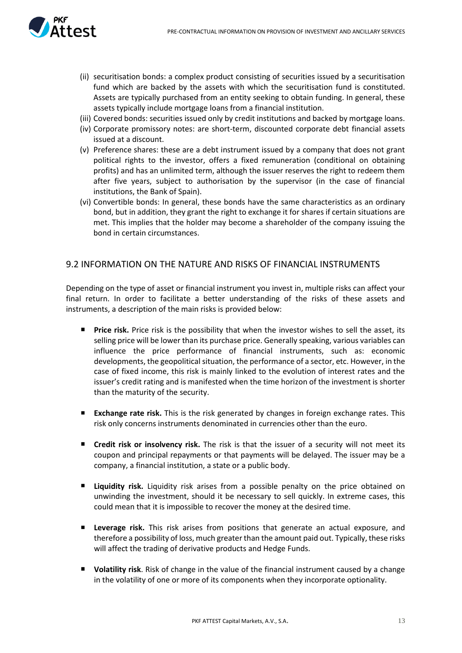

- (ii) securitisation bonds: a complex product consisting of securities issued by a securitisation fund which are backed by the assets with which the securitisation fund is constituted. Assets are typically purchased from an entity seeking to obtain funding. In general, these assets typically include mortgage loans from a financial institution.
- (iii) Covered bonds: securities issued only by credit institutions and backed by mortgage loans.
- (iv) Corporate promissory notes: are short-term, discounted corporate debt financial assets issued at a discount.
- (v) Preference shares: these are a debt instrument issued by a company that does not grant political rights to the investor, offers a fixed remuneration (conditional on obtaining profits) and has an unlimited term, although the issuer reserves the right to redeem them after five years, subject to authorisation by the supervisor (in the case of financial institutions, the Bank of Spain).
- (vi) Convertible bonds: In general, these bonds have the same characteristics as an ordinary bond, but in addition, they grant the right to exchange it for shares if certain situations are met. This implies that the holder may become a shareholder of the company issuing the bond in certain circumstances.

#### <span id="page-12-0"></span>9.2 INFORMATION ON THE NATURE AND RISKS OF FINANCIAL INSTRUMENTS

Depending on the type of asset or financial instrument you invest in, multiple risks can affect your final return. In order to facilitate a better understanding of the risks of these assets and instruments, a description of the main risks is provided below:

- **Price risk.** Price risk is the possibility that when the investor wishes to sell the asset, its selling price will be lower than its purchase price. Generally speaking, various variables can influence the price performance of financial instruments, such as: economic developments, the geopolitical situation, the performance of a sector, etc. However, in the case of fixed income, this risk is mainly linked to the evolution of interest rates and the issuer's credit rating and is manifested when the time horizon of the investment is shorter than the maturity of the security.
- **Exchange rate risk.** This is the risk generated by changes in foreign exchange rates. This risk only concerns instruments denominated in currencies other than the euro.
- **Credit risk or insolvency risk.** The risk is that the issuer of a security will not meet its coupon and principal repayments or that payments will be delayed. The issuer may be a company, a financial institution, a state or a public body.
- **Liquidity risk.** Liquidity risk arises from a possible penalty on the price obtained on unwinding the investment, should it be necessary to sell quickly. In extreme cases, this could mean that it is impossible to recover the money at the desired time.
- **Leverage risk.** This risk arises from positions that generate an actual exposure, and therefore a possibility of loss, much greater than the amount paid out. Typically, these risks will affect the trading of derivative products and Hedge Funds.
- **Volatility risk**. Risk of change in the value of the financial instrument caused by a change in the volatility of one or more of its components when they incorporate optionality.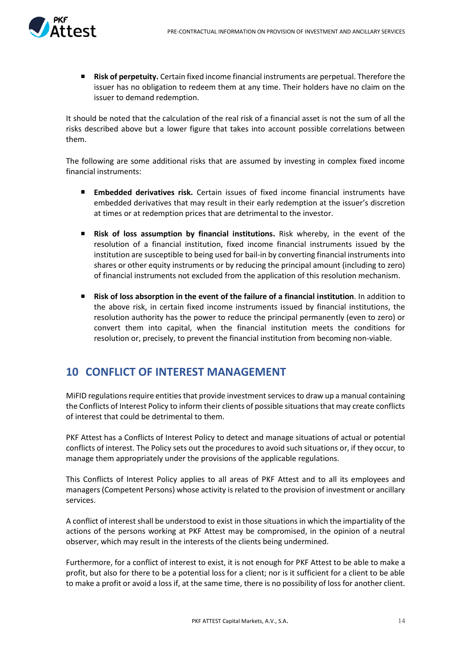

**Risk of perpetuity.** Certain fixed income financial instruments are perpetual. Therefore the issuer has no obligation to redeem them at any time. Their holders have no claim on the issuer to demand redemption.

It should be noted that the calculation of the real risk of a financial asset is not the sum of all the risks described above but a lower figure that takes into account possible correlations between them.

The following are some additional risks that are assumed by investing in complex fixed income financial instruments:

- $\blacksquare$ **Embedded derivatives risk.** Certain issues of fixed income financial instruments have embedded derivatives that may result in their early redemption at the issuer's discretion at times or at redemption prices that are detrimental to the investor.
- **Risk of loss assumption by financial institutions.** Risk whereby, in the event of the resolution of a financial institution, fixed income financial instruments issued by the institution are susceptible to being used for bail-in by converting financial instruments into shares or other equity instruments or by reducing the principal amount (including to zero) of financial instruments not excluded from the application of this resolution mechanism.
- **Risk of loss absorption in the event of the failure of a financial institution**. In addition to the above risk, in certain fixed income instruments issued by financial institutions, the resolution authority has the power to reduce the principal permanently (even to zero) or convert them into capital, when the financial institution meets the conditions for resolution or, precisely, to prevent the financial institution from becoming non-viable.

## <span id="page-13-0"></span>**10 CONFLICT OF INTEREST MANAGEMENT**

MiFID regulations require entities that provide investment services to draw up a manual containing the Conflicts of Interest Policy to inform their clients of possible situations that may create conflicts of interest that could be detrimental to them.

PKF Attest has a Conflicts of Interest Policy to detect and manage situations of actual or potential conflicts of interest. The Policy sets out the procedures to avoid such situations or, if they occur, to manage them appropriately under the provisions of the applicable regulations.

This Conflicts of Interest Policy applies to all areas of PKF Attest and to all its employees and managers (Competent Persons) whose activity is related to the provision of investment or ancillary services.

A conflict of interest shall be understood to exist in those situations in which the impartiality of the actions of the persons working at PKF Attest may be compromised, in the opinion of a neutral observer, which may result in the interests of the clients being undermined.

Furthermore, for a conflict of interest to exist, it is not enough for PKF Attest to be able to make a profit, but also for there to be a potential loss for a client; nor is it sufficient for a client to be able to make a profit or avoid a loss if, at the same time, there is no possibility of loss for another client.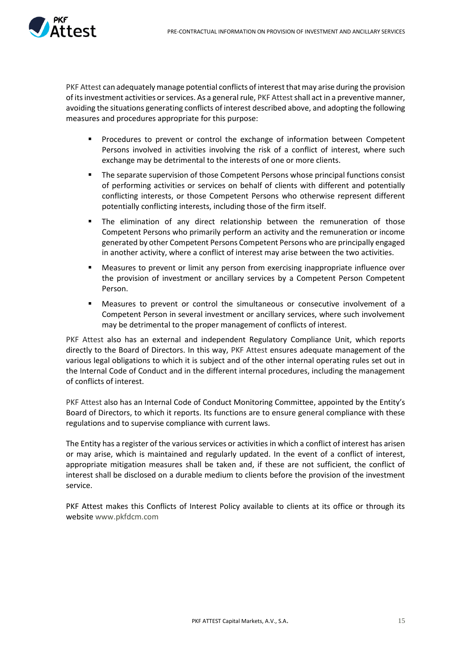

PKF Attest can adequately manage potential conflicts of interest that may arise during the provision of its investment activities or services. As a general rule, PKF Attest shall act in a preventive manner, avoiding the situations generating conflicts of interest described above, and adopting the following measures and procedures appropriate for this purpose:

- Procedures to prevent or control the exchange of information between Competent Persons involved in activities involving the risk of a conflict of interest, where such exchange may be detrimental to the interests of one or more clients.
- The separate supervision of those Competent Persons whose principal functions consist of performing activities or services on behalf of clients with different and potentially conflicting interests, or those Competent Persons who otherwise represent different potentially conflicting interests, including those of the firm itself.
- **■** The elimination of any direct relationship between the remuneration of those Competent Persons who primarily perform an activity and the remuneration or income generated by other Competent Persons Competent Persons who are principally engaged in another activity, where a conflict of interest may arise between the two activities.
- Measures to prevent or limit any person from exercising inappropriate influence over the provision of investment or ancillary services by a Competent Person Competent Person.
- Measures to prevent or control the simultaneous or consecutive involvement of a Competent Person in several investment or ancillary services, where such involvement may be detrimental to the proper management of conflicts of interest.

PKF Attest also has an external and independent Regulatory Compliance Unit, which reports directly to the Board of Directors. In this way, PKF Attest ensures adequate management of the various legal obligations to which it is subject and of the other internal operating rules set out in the Internal Code of Conduct and in the different internal procedures, including the management of conflicts of interest.

PKF Attest also has an Internal Code of Conduct Monitoring Committee, appointed by the Entity's Board of Directors, to which it reports. Its functions are to ensure general compliance with these regulations and to supervise compliance with current laws.

The Entity has a register of the various services or activities in which a conflict of interest has arisen or may arise, which is maintained and regularly updated. In the event of a conflict of interest, appropriate mitigation measures shall be taken and, if these are not sufficient, the conflict of interest shall be disclosed on a durable medium to clients before the provision of the investment service.

PKF Attest makes this Conflicts of Interest Policy available to clients at its office or through its website www.pkfdcm.com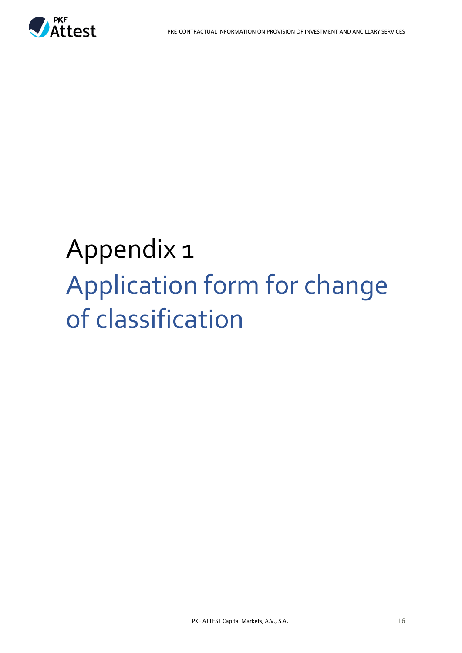

## <span id="page-15-0"></span>Appendix 1 Application form for change of classification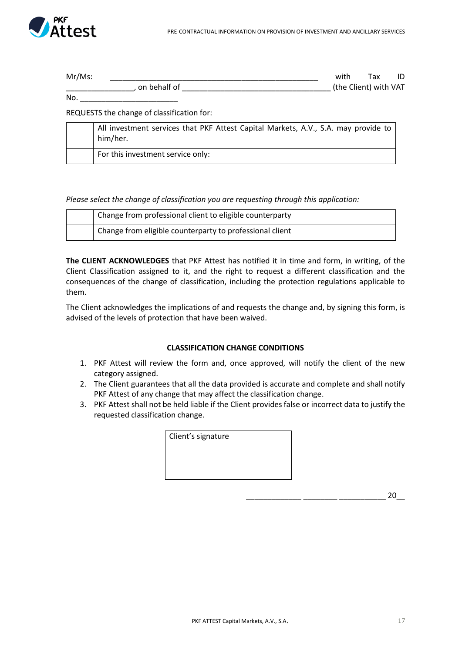

| $Mr/Ms$ : |              | with                  | Tax | ID |
|-----------|--------------|-----------------------|-----|----|
|           | on behalf of | (the Client) with VAT |     |    |
| No.       |              |                       |     |    |

REQUESTS the change of classification for:

| All investment services that PKF Attest Capital Markets, A.V., S.A. may provide to<br>him/her. |
|------------------------------------------------------------------------------------------------|
| For this investment service only:                                                              |

*Please select the change of classification you are requesting through this application:*

| Change from professional client to eligible counterparty |
|----------------------------------------------------------|
| Change from eligible counterparty to professional client |

**The CLIENT ACKNOWLEDGES** that PKF Attest has notified it in time and form, in writing, of the Client Classification assigned to it, and the right to request a different classification and the consequences of the change of classification, including the protection regulations applicable to them.

The Client acknowledges the implications of and requests the change and, by signing this form, is advised of the levels of protection that have been waived.

#### **CLASSIFICATION CHANGE CONDITIONS**

- 1. PKF Attest will review the form and, once approved, will notify the client of the new category assigned.
- 2. The Client guarantees that all the data provided is accurate and complete and shall notify PKF Attest of any change that may affect the classification change.
- 3. PKF Attest shall not be held liable if the Client provides false or incorrect data to justify the requested classification change.

| Client's signature |  |
|--------------------|--|
|                    |  |
|                    |  |
|                    |  |

 $-20$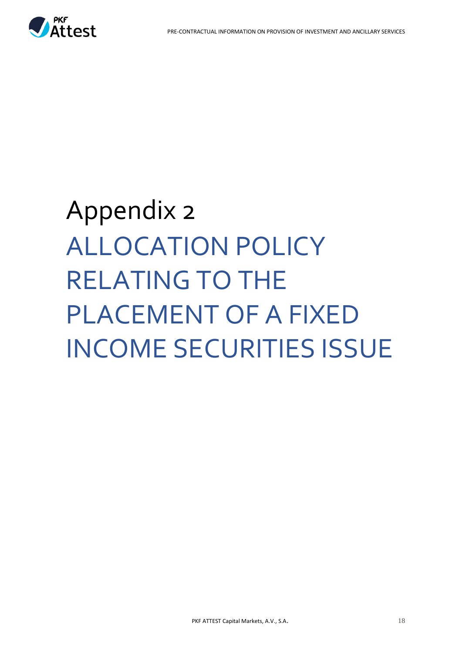

# <span id="page-17-0"></span>Appendix 2 ALLOCATION POLICY RELATING TO THE PLACEMENT OF A FIXED INCOME SECURITIES ISSUE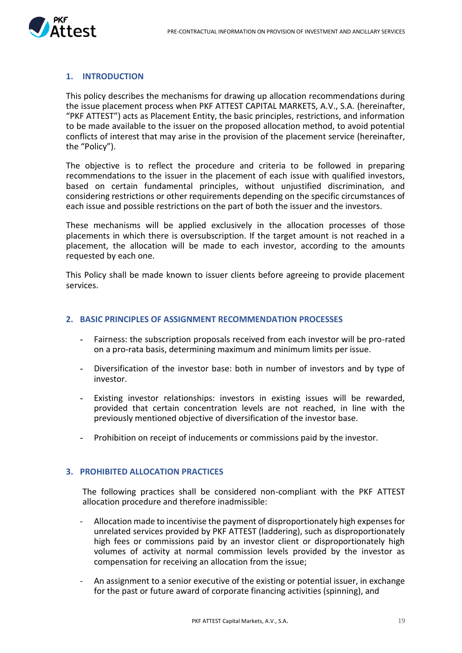

#### **1. INTRODUCTION**

This policy describes the mechanisms for drawing up allocation recommendations during the issue placement process when PKF ATTEST CAPITAL MARKETS, A.V., S.A. (hereinafter, "PKF ATTEST") acts as Placement Entity, the basic principles, restrictions, and information to be made available to the issuer on the proposed allocation method, to avoid potential conflicts of interest that may arise in the provision of the placement service (hereinafter, the "Policy").

The objective is to reflect the procedure and criteria to be followed in preparing recommendations to the issuer in the placement of each issue with qualified investors, based on certain fundamental principles, without unjustified discrimination, and considering restrictions or other requirements depending on the specific circumstances of each issue and possible restrictions on the part of both the issuer and the investors.

These mechanisms will be applied exclusively in the allocation processes of those placements in which there is oversubscription. If the target amount is not reached in a placement, the allocation will be made to each investor, according to the amounts requested by each one.

This Policy shall be made known to issuer clients before agreeing to provide placement services.

#### **2. BASIC PRINCIPLES OF ASSIGNMENT RECOMMENDATION PROCESSES**

- Fairness: the subscription proposals received from each investor will be pro-rated on a pro-rata basis, determining maximum and minimum limits per issue.
- Diversification of the investor base: both in number of investors and by type of investor.
- Existing investor relationships: investors in existing issues will be rewarded, provided that certain concentration levels are not reached, in line with the previously mentioned objective of diversification of the investor base.
- Prohibition on receipt of inducements or commissions paid by the investor.

#### **3. PROHIBITED ALLOCATION PRACTICES**

The following practices shall be considered non-compliant with the PKF ATTEST allocation procedure and therefore inadmissible:

- Allocation made to incentivise the payment of disproportionately high expenses for unrelated services provided by PKF ATTEST (laddering), such as disproportionately high fees or commissions paid by an investor client or disproportionately high volumes of activity at normal commission levels provided by the investor as compensation for receiving an allocation from the issue;
- An assignment to a senior executive of the existing or potential issuer, in exchange for the past or future award of corporate financing activities (spinning), and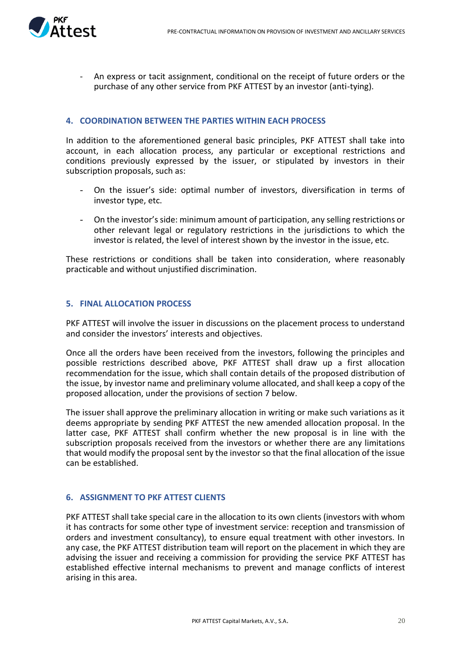

- An express or tacit assignment, conditional on the receipt of future orders or the purchase of any other service from PKF ATTEST by an investor (anti-tying).

#### **4. COORDINATION BETWEEN THE PARTIES WITHIN EACH PROCESS**

In addition to the aforementioned general basic principles, PKF ATTEST shall take into account, in each allocation process, any particular or exceptional restrictions and conditions previously expressed by the issuer, or stipulated by investors in their subscription proposals, such as:

- On the issuer's side: optimal number of investors, diversification in terms of investor type, etc.
- On the investor's side: minimum amount of participation, any selling restrictions or other relevant legal or regulatory restrictions in the jurisdictions to which the investor is related, the level of interest shown by the investor in the issue, etc.

These restrictions or conditions shall be taken into consideration, where reasonably practicable and without unjustified discrimination.

#### **5. FINAL ALLOCATION PROCESS**

PKF ATTEST will involve the issuer in discussions on the placement process to understand and consider the investors' interests and objectives.

Once all the orders have been received from the investors, following the principles and possible restrictions described above, PKF ATTEST shall draw up a first allocation recommendation for the issue, which shall contain details of the proposed distribution of the issue, by investor name and preliminary volume allocated, and shall keep a copy of the proposed allocation, under the provisions of section 7 below.

The issuer shall approve the preliminary allocation in writing or make such variations as it deems appropriate by sending PKF ATTEST the new amended allocation proposal. In the latter case, PKF ATTEST shall confirm whether the new proposal is in line with the subscription proposals received from the investors or whether there are any limitations that would modify the proposal sent by the investor so that the final allocation of the issue can be established.

#### **6. ASSIGNMENT TO PKF ATTEST CLIENTS**

PKF ATTEST shall take special care in the allocation to its own clients (investors with whom it has contracts for some other type of investment service: reception and transmission of orders and investment consultancy), to ensure equal treatment with other investors. In any case, the PKF ATTEST distribution team will report on the placement in which they are advising the issuer and receiving a commission for providing the service PKF ATTEST has established effective internal mechanisms to prevent and manage conflicts of interest arising in this area.